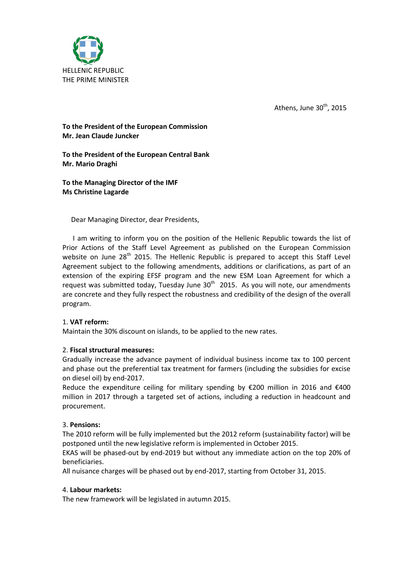

Athens, June  $30<sup>th</sup>$ , 2015

# **To the President of the European Commission Mr. Jean Claude Juncker**

**To the President of the European Central Bank Mr. Mario Draghi**

**To the Managing Director of the IMF Ms Christine Lagarde**

Dear Managing Director, dear Presidents,

 I am writing to inform you on the position of the Hellenic Republic towards the list of Prior Actions of the Staff Level Agreement as published on the European Commission website on June 28<sup>th</sup> 2015. The Hellenic Republic is prepared to accept this Staff Level Agreement subject to the following amendments, additions or clarifications, as part of an extension of the expiring EFSF program and the new ESM Loan Agreement for which a request was submitted today, Tuesday June  $30<sup>th</sup>$  2015. As you will note, our amendments are concrete and they fully respect the robustness and credibility of the design of the overall program.

## 1. **VAT reform:**

Maintain the 30% discount on islands, to be applied to the new rates.

### 2. **Fiscal structural measures:**

Gradually increase the advance payment of individual business income tax to 100 percent and phase out the preferential tax treatment for farmers (including the subsidies for excise on diesel oil) by end-2017.

Reduce the expenditure ceiling for military spending by  $\epsilon$ 200 million in 2016 and  $\epsilon$ 400 million in 2017 through a targeted set of actions, including a reduction in headcount and procurement.

### 3. **Pensions:**

The 2010 reform will be fully implemented but the 2012 reform (sustainability factor) will be postponed until the new legislative reform is implemented in October 2015.

EKAS will be phased-out by end-2019 but without any immediate action on the top 20% of beneficiaries.

All nuisance charges will be phased out by end-2017, starting from October 31, 2015.

### 4. **Labour markets:**

The new framework will be legislated in autumn 2015.